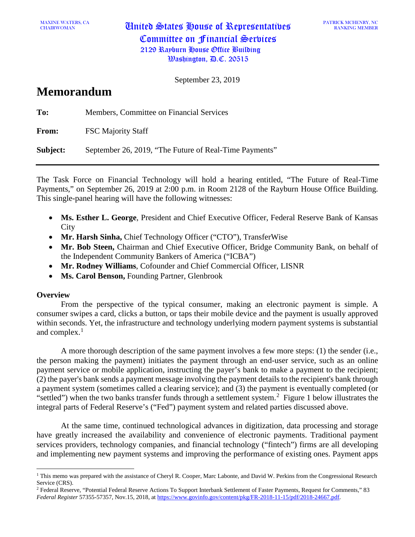CHAIRWOMAN United States House of Representatives Committee on Financial Services 2129 Rayburn House Office Building  $\mathcal{W}$ ashington,  $\mathcal{P}$ .C. 20515

PATRICK MCHENRY, NC RANKING MEMBER

September 23, 2019

# **Memorandum**

**To:** Members, Committee on Financial Services **From:** FSC Majority Staff **Subject:** September 26, 2019, "The Future of Real-Time Payments"

The Task Force on Financial Technology will hold a hearing entitled, "The Future of Real-Time Payments," on September 26, 2019 at 2:00 p.m. in Room 2128 of the Rayburn House Office Building. This single-panel hearing will have the following witnesses:

- **Ms. Esther L. George**, President and Chief Executive Officer, Federal Reserve Bank of Kansas **City**
- **Mr. Harsh Sinha,** Chief Technology Officer ("CTO"), TransferWise
- **Mr. Bob Steen,** Chairman and Chief Executive Officer, Bridge Community Bank, on behalf of the Independent Community Bankers of America ("ICBA")
- **Mr. Rodney Williams**, Cofounder and Chief Commercial Officer, LISNR
- **Ms. Carol Benson,** Founding Partner, Glenbrook

## **Overview**

From the perspective of the typical consumer, making an electronic payment is simple. A consumer swipes a card, clicks a button, or taps their mobile device and the payment is usually approved within seconds. Yet, the infrastructure and technology underlying modern payment systems is substantial and complex.<sup>[1](#page-0-0)</sup>

A more thorough description of the same payment involves a few more steps: (1) the sender (i.e., the person making the payment) initiates the payment through an end-user service, such as an online payment service or mobile application, instructing the payer's bank to make a payment to the recipient; (2) the payer's bank sends a payment message involving the payment details to the recipient's bank through a payment system (sometimes called a clearing service); and (3) the payment is eventually completed (or "settled") when the two banks transfer funds through a settlement system. $2$  Figure 1 below illustrates the integral parts of Federal Reserve's ("Fed") payment system and related parties discussed above.

At the same time, continued technological advances in digitization, data processing and storage have greatly increased the availability and convenience of electronic payments. Traditional payment services providers, technology companies, and financial technology ("fintech") firms are all developing and implementing new payment systems and improving the performance of existing ones. Payment apps

<span id="page-0-0"></span><sup>&</sup>lt;sup>1</sup> This memo was prepared with the assistance of Cheryl R. Cooper, Marc Labonte, and David W. Perkins from the Congressional Research Service (CRS).

<span id="page-0-1"></span><sup>&</sup>lt;sup>2</sup> Federal Reserve, "Potential Federal Reserve Actions To Support Interbank Settlement of Faster Payments, Request for Comments," 83 *Federal Register* 57355-57357, Nov.15, 2018, at [https://www.govinfo.gov/content/pkg/FR-2018-11-15/pdf/2018-24667.pdf.](https://www.govinfo.gov/content/pkg/FR-2018-11-15/pdf/2018-24667.pdf)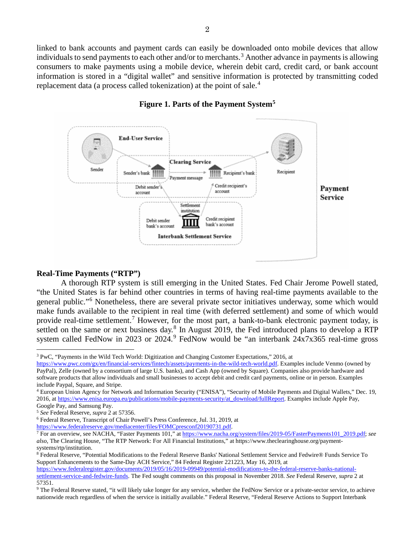linked to bank accounts and payment cards can easily be downloaded onto mobile devices that allow individuals to send payments to each other and/or to merchants.<sup>[3](#page-1-0)</sup> Another advance in payments is allowing consumers to make payments using a mobile device, wherein debit card, credit card, or bank account information is stored in a "digital wallet" and sensitive information is protected by transmitting coded replacement data (a process called tokenization) at the point of sale.<sup>[4](#page-1-1)</sup>



## **Figure 1. Parts of the Payment System[5](#page-1-2)**

#### **Real-Time Payments ("RTP")**

A thorough RTP system is still emerging in the United States. Fed Chair Jerome Powell stated, "the United States is far behind other countries in terms of having real-time payments available to the general public."[6](#page-1-3) Nonetheless, there are several private sector initiatives underway, some which would make funds available to the recipient in real time (with deferred settlement) and some of which would provide real-time settlement.<sup>[7](#page-1-4)</sup> However, for the most part, a bank-to-bank electronic payment today, is settled on the same or next business day.<sup>[8](#page-1-5)</sup> In August 2019, the Fed introduced plans to develop a RTP system called FedNow in 2023 or 2024.<sup>[9](#page-1-6)</sup> FedNow would be "an interbank  $24x7x365$  real-time gross

[https://www.federalreserve.gov/mediacenter/files/FOMCpresconf20190731.pdf.](https://www.federalreserve.gov/mediacenter/files/FOMCpresconf20190731.pdf)

<span id="page-1-0"></span><sup>3</sup> PwC, "Payments in the Wild Tech World: Digitization and Changing Customer Expectations," 2016, at

[https://www.pwc.com/gx/en/financial-services/fintech/assets/payments-in-the-wild-tech-world.pdf.](https://www.pwc.com/gx/en/financial-services/fintech/assets/payments-in-the-wild-tech-world.pdf) Examples include Venmo (owned by PayPal), Zelle (owned by a consortium of large U.S. banks), and Cash App (owned by Square). Companies also provide hardware and software products that allow individuals and small businesses to accept debit and credit card payments, online or in person. Examples include Paypal, Square, and Stripe.

<span id="page-1-1"></span><sup>4</sup> European Union Agency for Network and Information Security ("ENISA"), "Security of Mobile Payments and Digital Wallets," Dec. 19, 2016, a[t https://www.enisa.europa.eu/publications/mobile-payments-security/at\\_download/fullReport.](https://www.enisa.europa.eu/publications/mobile-payments-security/at_download/fullReport) Examples include Apple Pay, Google Pay, and Samsung Pay.

<span id="page-1-2"></span><sup>5</sup> *See* Federal Reserve, *supra* 2 at 57356.

<span id="page-1-3"></span><sup>6</sup> Federal Reserve, Transcript of Chair Powell's Press Conference, Jul. 31, 2019, at

<span id="page-1-4"></span><sup>7</sup> For an overview, see NACHA, "Faster Payments 101," a[t https://www.nacha.org/system/files/2019-05/FasterPayments101\\_2019.pdf;](https://www.nacha.org/system/files/2019-05/FasterPayments101_2019.pdf) *see also*, The Clearing House, "The RTP Network: For All Financial Institutions," at https://www.theclearinghouse.org/paymentsystems/rtp/institution.

<span id="page-1-5"></span><sup>8</sup> Federal Reserve, "Potential Modifications to the Federal Reserve Banks' National Settlement Service and Fedwire® Funds Service To Support Enhancements to the Same-Day ACH Service," 84 Federal Register 221223, May 16, 2019, at

[https://www.federalregister.gov/documents/2019/05/16/2019-09949/potential-modifications-to-the-federal-reserve-banks-national](https://www.federalregister.gov/documents/2019/05/16/2019-09949/potential-modifications-to-the-federal-reserve-banks-national-settlement-service-and-fedwire-funds)[settlement-service-and-fedwire-funds.](https://www.federalregister.gov/documents/2019/05/16/2019-09949/potential-modifications-to-the-federal-reserve-banks-national-settlement-service-and-fedwire-funds) The Fed sought comments on this proposal in November 2018. *See* Federal Reserve, *supra* 2 at 57351.

<span id="page-1-6"></span><sup>&</sup>lt;sup>9</sup> The Federal Reserve stated, "it will likely take longer for any service, whether the FedNow Service or a private-sector service, to achieve nationwide reach regardless of when the service is initially available." Federal Reserve, "Federal Reserve Actions to Support Interbank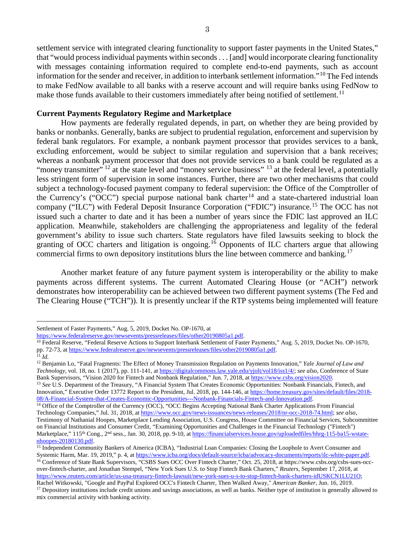settlement service with integrated clearing functionality to support faster payments in the United States," that "would process individual payments within seconds. . . [and] would incorporate clearing functionality with messages containing information required to complete end-to-end payments, such as account information for the sender and receiver, in addition to interbank settlement information."[10](#page-2-0) The Fed intends to make FedNow available to all banks with a reserve account and will require banks using FedNow to make those funds available to their customers immediately after being notified of settlement.<sup>[11](#page-2-1)</sup>

#### **Current Payments Regulatory Regime and Marketplace**

How payments are federally regulated depends, in part, on whether they are being provided by banks or nonbanks. Generally, banks are subject to prudential regulation, enforcement and supervision by federal bank regulators. For example, a nonbank payment processor that provides services to a bank, excluding enforcement, would be subject to similar regulation and supervision that a bank receives; whereas a nonbank payment processor that does not provide services to a bank could be regulated as a "money transmitter" <sup>[12](#page-2-2)</sup> at the state level and "money service business" <sup>[13](#page-2-3)</sup> at the federal level, a potentially less stringent form of supervision in some instances. Further, there are two other mechanisms that could subject a technology-focused payment company to federal supervision: the Office of the Comptroller of the Currency's ("OCC") special purpose national bank charter<sup>[14](#page-2-4)</sup> and a state-chartered industrial loan company ("ILC") with Federal Deposit Insurance Corporation ("FDIC") insurance.<sup>[15](#page-2-5)</sup> The OCC has not issued such a charter to date and it has been a number of years since the FDIC last approved an ILC application. Meanwhile, stakeholders are challenging the appropriateness and legality of the federal government's ability to issue such charters. State regulators have filed lawsuits seeking to block the granting of OCC charters and litigation is ongoing.<sup>[16](#page-2-6)</sup> Opponents of ILC charters argue that allowing commercial firms to own depository institutions blurs the line between commerce and banking.<sup>[17](#page-2-7)</sup>

Another market feature of any future payment system is interoperability or the ability to make payments across different systems. The current Automated Clearing House (or "ACH") network demonstrates how interoperability can be achieved between two different payment systems (The Fed and The Clearing House ("TCH")). It is presently unclear if the RTP systems being implemented will feature

[https://www.federalreserve.gov/newsevents/pressreleases/files/other20190805a1.pdf.](https://www.federalreserve.gov/newsevents/pressreleases/files/other20190805a1.pdf)

<span id="page-2-3"></span><sup>13</sup> See U.S. Department of the Treasury, "A Financial System That Creates Economic Opportunities: Nonbank Financials, Fintech, and Innovation," Executive Order 13772 Report to the President, Jul. 2018, pp. 144-146, a[t https://home.treasury.gov/sites/default/files/2018-](https://home.treasury.gov/sites/default/files/2018-08/A-Financial-System-that-Creates-Economic-Opportunities---Nonbank-Financials-Fintech-and-Innovation.pdf) [08/A-Financial-System-that-Creates-Economic-Opportunities---Nonbank-Financials-Fintech-and-Innovation.pdf.](https://home.treasury.gov/sites/default/files/2018-08/A-Financial-System-that-Creates-Economic-Opportunities---Nonbank-Financials-Fintech-and-Innovation.pdf)

Settlement of Faster Payments," Aug. 5, 2019, Docket No. OP-1670, at

<span id="page-2-0"></span><sup>&</sup>lt;sup>10</sup> Federal Reserve, "Federal Reserve Actions to Support Interbank Settlement of Faster Payments," Aug. 5, 2019, Docket No. OP-1670, pp. 72-73, a[t https://www.federalreserve.gov/newsevents/pressreleases/files/other20190805a1.pdf.](https://www.federalreserve.gov/newsevents/pressreleases/files/other20190805a1.pdf) <sup>11</sup> *Id.*

<span id="page-2-2"></span><span id="page-2-1"></span><sup>12</sup> Benjamin Lo, "Fatal Fragments: The Effect of Money Transmission Regulation on Payments Innovation," *Yale Journal of Law and Technology*, vol. 18, no. 1 (2017), pp. 111-141, a[t https://digitalcommons.law.yale.edu/yjolt/vol18/iss1/4/;](https://digitalcommons.law.yale.edu/yjolt/vol18/iss1/4/) *see also*, Conference of State Bank Supervisors, "Vision 2020 for Fintech and Nonbank Regulation," Jun. 7, 2018, a[t https://www.csbs.org/vision2020.](https://www.csbs.org/vision2020)

<span id="page-2-4"></span><sup>&</sup>lt;sup>14</sup> Office of the Comptroller of the Currency (OCC), "OCC Begins Accepting National Bank Charter Applications From Financial Technology Companies," Jul. 31, 2018, at [https://www.occ.gov/news-issuances/news-releases/2018/nr-occ-2018-74.html;](https://www.occ.gov/news-issuances/news-releases/2018/nr-occ-2018-74.html) *see also*, Testimony of Nathanial Hoopes, Marketplace Lending Association, U.S. Congress, House Committee on Financial Services, Subcommittee on Financial Institutions and Consumer Credit, "Examining Opportunities and Challenges in the Financial Technology ("Fintech") Marketplace," 115<sup>th</sup> Cong., 2<sup>nd</sup> sess., Jan. 30, 2018, pp. 9-10, at [https://financialservices.house.gov/uploadedfiles/hhrg-115-ba15-wstate](https://financialservices.house.gov/uploadedfiles/hhrg-115-ba15-wstate-nhoopes-20180130.pdf)[nhoopes-20180130.pdf.](https://financialservices.house.gov/uploadedfiles/hhrg-115-ba15-wstate-nhoopes-20180130.pdf)

<span id="page-2-5"></span><sup>&</sup>lt;sup>15</sup> Independent Community Bankers of America (ICBA), "Industrial Loan Companies: Closing the Loophole to Avert Consumer and Systemic Harm, Mar. 19, 2019," p. 4, a[t https://www.icba.org/docs/default-source/icba/advocacy-documents/reports/ilc-white-paper.pdf.](https://www.icba.org/docs/default-source/icba/advocacy-documents/reports/ilc-white-paper.pdf)

<span id="page-2-6"></span><sup>&</sup>lt;sup>16</sup> Conference of State Bank Supervisors, "CSBS Sues OCC Over Fintech Charter," Oct. 25, 2018, at https://www.csbs.org/csbs-sues-occover-fintech-charter, and Jonathan Stempel, "New York Sues U.S. to Stop Fintech Bank Charters," *Reuters*, September 17, 2018, at [https://www.reuters.com/article/us-usa-treasury-fintech-lawsuit/new-york-sues-u-s-to-stop-fintech-bank-charters-idUSKCN1LU21O;](https://www.reuters.com/article/us-usa-treasury-fintech-lawsuit/new-york-sues-u-s-to-stop-fintech-bank-charters-idUSKCN1LU21O)  Rachel Witkowski, "Google and PayPal Explored OCC's Fintech Charter, Then Walked Away," *American Banker*, Jun. 16, 2019.

<span id="page-2-7"></span><sup>&</sup>lt;sup>17</sup> Depository institutions include credit unions and savings associations, as well as banks. Neither type of institution is generally allowed to mix commercial activity with banking activity.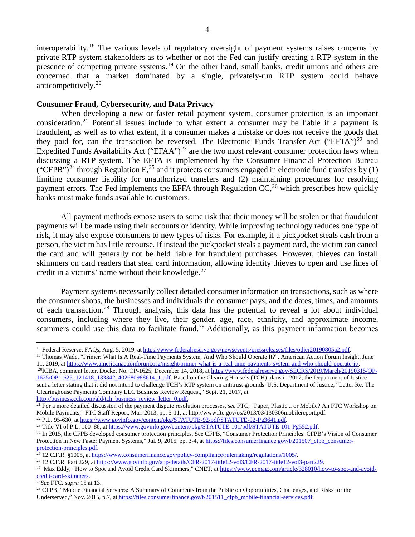interoperability.[18](#page-3-0) The various levels of regulatory oversight of payment systems raises concerns by private RTP system stakeholders as to whether or not the Fed can justify creating a RTP system in the presence of competing private systems.<sup>[19](#page-3-1)</sup> On the other hand, small banks, credit unions and others are concerned that a market dominated by a single, privately-run RTP system could behave anticompetitively. [20](#page-3-2)

#### **Consumer Fraud, Cybersecurity, and Data Privacy**

When developing a new or faster retail payment system, consumer protection is an important consideration.[21](#page-3-3) Potential issues include to what extent a consumer may be liable if a payment is fraudulent, as well as to what extent, if a consumer makes a mistake or does not receive the goods that they paid for, can the transaction be reversed. The Electronic Funds Transfer Act ("EFTA")<sup>[22](#page-3-4)</sup> and Expedited Funds Availability Act ("EFAA")<sup>[23](#page-3-5)</sup> are the two most relevant consumer protection laws when discussing a RTP system. The EFTA is implemented by the Consumer Financial Protection Bureau ("CFPB")<sup>[24](#page-3-6)</sup> through Regulation E,<sup>[25](#page-3-7)</sup> and it protects consumers engaged in electronic fund transfers by (1) limiting consumer liability for unauthorized transfers and (2) maintaining procedures for resolving payment errors. The Fed implements the EFFA through Regulation  $CC<sub>1</sub><sup>26</sup>$  $CC<sub>1</sub><sup>26</sup>$  $CC<sub>1</sub><sup>26</sup>$  which prescribes how quickly banks must make funds available to customers.

All payment methods expose users to some risk that their money will be stolen or that fraudulent payments will be made using their accounts or identity. While improving technology reduces one type of risk, it may also expose consumers to new types of risks. For example, if a pickpocket steals cash from a person, the victim has little recourse. If instead the pickpocket steals a payment card, the victim can cancel the card and will generally not be held liable for fraudulent purchases. However, thieves can install skimmers on card readers that steal card information, allowing identity thieves to open and use lines of credit in a victims' name without their knowledge. $27$ 

Payment systems necessarily collect detailed consumer information on transactions, such as where the consumer shops, the businesses and individuals the consumer pays, and the dates, times, and amounts of each transaction.[28](#page-3-10) Through analysis, this data has the potential to reveal a lot about individual consumers, including where they live, their gender, age, race, ethnicity, and approximate income, scammers could use this data to facilitate fraud.<sup>[29](#page-3-11)</sup> Additionally, as this payment information becomes

<span id="page-3-2"></span>[1625/OP-1625\\_121418\\_133342\\_402680988614\\_1.pdf.](https://www.federalreserve.gov/SECRS/2019/March/20190315/OP-1625/OP-1625_121418_133342_402680988614_1.pdf) Based on the Clearing House's (TCH) plans in 2017, the Department of Justice sent a letter stating that it did not intend to challenge TCH's RTP system on antitrust grounds. U.S. Department of Justice, "Letter Re: The Clearinghouse Payments Company LLC Business Review Request," Sept. 21, 2017, at [http://business.cch.com/ald/tch\\_business\\_review\\_letter\\_0.pdf.](http://business.cch.com/ald/tch_business_review_letter_0.pdf)

<span id="page-3-1"></span><span id="page-3-0"></span><sup>&</sup>lt;sup>18</sup> Federal Reserve, FAQs, Aug. 5, 2019, a[t https://www.federalreserve.gov/newsevents/pressreleases/files/other20190805a2.pdf.](https://www.federalreserve.gov/newsevents/pressreleases/files/other20190805a2.pdf)<br><sup>19</sup> Thomas Wade, "Primer: What Is A Real-Time Payments System, And Who Should Operate It?", A

<sup>11, 2019,</sup> a[t https://www.americanactionforum.org/insight/primer-what-is-a-real-time-payments-system-and-who-should-operate-it/.](https://www.americanactionforum.org/insight/primer-what-is-a-real-time-payments-system-and-who-should-operate-it/) <sup>20</sup>ICBA, comment letter, Docket No. OP-1625, December 14, 2018, a[t https://www.federalreserve.gov/SECRS/2019/March/20190315/OP-](https://www.federalreserve.gov/SECRS/2019/March/20190315/OP-1625/OP-1625_121418_133342_402680988614_1.pdf)

<span id="page-3-3"></span><sup>&</sup>lt;sup>21</sup> For a more detailed discussion of the payment dispute resolution processes, *see* FTC, "Paper, Plastic... or Mobile? An FTC Workshop on Mobile Payments," FTC Staff Report, Mar. 2013, pp. 5-11, at http:/[/www.ftc.gov/os/2013/03/130306mobilereport.pdf.](file://crsdomain/crshomedir/GF/DPERKINS/memos/Fintech%20Taskforce/HFS%20memo%20on%20payment%20hearing/www.ftc.gov/os/2013/03/130306mobilereport.pdf) <sup>22</sup> P.L. 95-630, at https://www.govinfo.gov/content/pkg/STATUTE-92/pdf/STATUTE-92-Pg3641.pdf.

<span id="page-3-6"></span><span id="page-3-5"></span><span id="page-3-4"></span><sup>&</sup>lt;sup>23</sup> Title VI of P.L. 100–86, at https://www.govinfo.gov/content/pkg/STATUTE-101/pdf/STATUTE-101-Pg552.pdf.<br><sup>24</sup> In 2015, the CFPB developed consumer protection principles. See CFPB, "Consumer Protection Principles: CFPB's Protection in New Faster Payment Systems," Jul. 9, 2015, pp. 3-4, a[t https://files.consumerfinance.gov/f/201507\\_cfpb\\_consumer](https://files.consumerfinance.gov/f/201507_cfpb_consumer-protection-principles.pdf)[protection-principles.pdf.](https://files.consumerfinance.gov/f/201507_cfpb_consumer-protection-principles.pdf)

<span id="page-3-7"></span><sup>&</sup>lt;sup>25</sup> 12 C.F.R. §1005, at <u>https://www.consumerfinance.gov/policy-compliance/rulemaking/regulations/1005/.</u><br><sup>26</sup> 12 C.F.R. Part 229, at <u>https://www.govinfo.gov/app/details/CFR-2017-title12-vol3/CFR-2017-title12-vol3-part22</u>

<span id="page-3-8"></span>

<span id="page-3-9"></span><sup>&</sup>lt;sup>27</sup> Max Eddy, "How to Spot and Avoid Credit Card Skimmers," CNET, a[t https://www.pcmag.com/article/328010/how-to-spot-and-avoid](https://www.pcmag.com/article/328010/how-to-spot-and-avoid-credit-card-skimmers)[credit-card-skimmers.](https://www.pcmag.com/article/328010/how-to-spot-and-avoid-credit-card-skimmers)

<span id="page-3-10"></span><sup>28</sup>*See* FTC, *supra* 15 at 13.

<span id="page-3-11"></span><sup>&</sup>lt;sup>29</sup> CFPB, "Mobile Financial Services: A Summary of Comments from the Public on Opportunities, Challenges, and Risks for the Underserved," Nov. 2015, p.7, a[t https://files.consumerfinance.gov/f/201511\\_cfpb\\_mobile-financial-services.pdf.](https://files.consumerfinance.gov/f/201511_cfpb_mobile-financial-services.pdf)